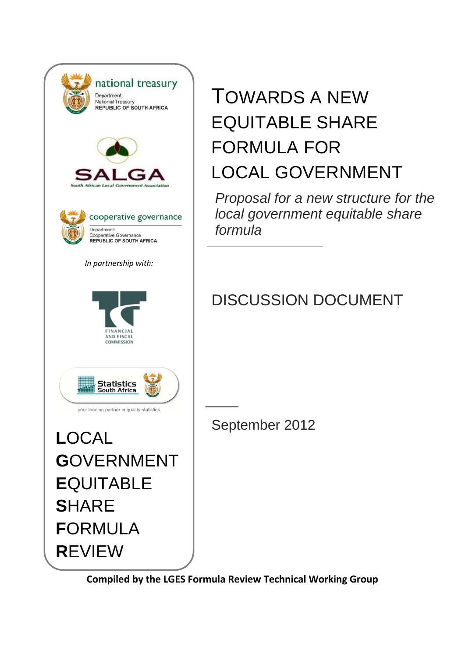| national treasury<br>Department:<br>National Treasury<br><b>REPUBLIC OF SOUTH AFRICA</b>           |
|----------------------------------------------------------------------------------------------------|
| South African Local Government                                                                     |
| cooperative governance<br>Department:<br>Cooperative Governance<br><b>REPUBLIC OF SOUTH AFRICA</b> |
| In partnership with:                                                                               |
| FINANCIAL<br>AND FISCAL<br><b>COMMISSION</b>                                                       |
| Statistics<br>South Africa<br>your leading partner in quality statistics                           |
| LOCAL                                                                                              |
| <b>GOVERNMENT</b>                                                                                  |
| EQUITABLE                                                                                          |
| <b>S</b> HARE                                                                                      |
| FORMULA                                                                                            |
| REVIEW                                                                                             |
|                                                                                                    |

# TOWARDS A NEW EQUITABLE SHARE FORMULA FOR LOCAL GOVERNMENT

*Proposal for a new structure for the local government equitable share formula*

## DISCUSSION DOCUMENT

September 2012

**Compiled by the LGES Formula Review Technical Working Group**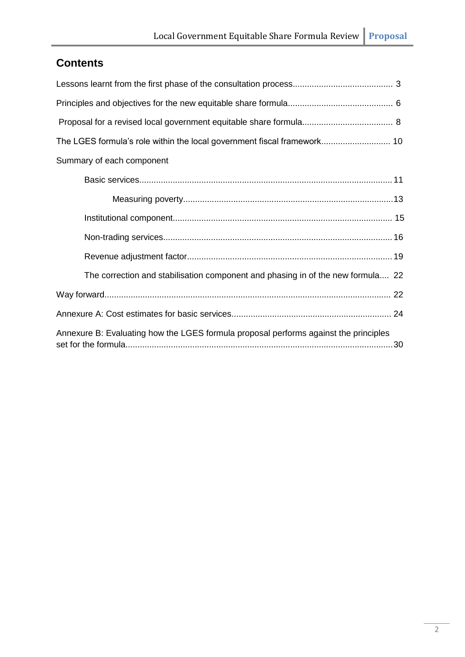### **Contents**

| Summary of each component                                                            |  |
|--------------------------------------------------------------------------------------|--|
|                                                                                      |  |
|                                                                                      |  |
|                                                                                      |  |
|                                                                                      |  |
|                                                                                      |  |
| The correction and stabilisation component and phasing in of the new formula 22      |  |
|                                                                                      |  |
|                                                                                      |  |
| Annexure B: Evaluating how the LGES formula proposal performs against the principles |  |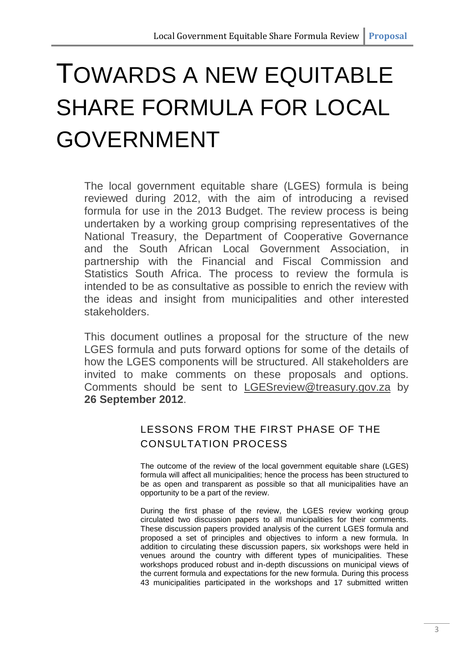# TOWARDS A NEW EQUITABLE SHARE FORMULA FOR LOCAL GOVERNMENT

The local government equitable share (LGES) formula is being reviewed during 2012, with the aim of introducing a revised formula for use in the 2013 Budget. The review process is being undertaken by a working group comprising representatives of the National Treasury, the Department of Cooperative Governance and the South African Local Government Association, in partnership with the Financial and Fiscal Commission and Statistics South Africa. The process to review the formula is intended to be as consultative as possible to enrich the review with the ideas and insight from municipalities and other interested stakeholders.

This document outlines a proposal for the structure of the new LGES formula and puts forward options for some of the details of how the LGES components will be structured. All stakeholders are invited to make comments on these proposals and options. Comments should be sent to [LGESreview@treasury.gov.za](mailto:LGESreview@treasury.gov.za) by **26 September 2012**.

### LESSONS FROM THE FIRST PHASE OF THE CONSULTATION PROCESS

The outcome of the review of the local government equitable share (LGES) formula will affect all municipalities; hence the process has been structured to be as open and transparent as possible so that all municipalities have an opportunity to be a part of the review.

During the first phase of the review, the LGES review working group circulated two discussion papers to all municipalities for their comments. These discussion papers provided analysis of the current LGES formula and proposed a set of principles and objectives to inform a new formula. In addition to circulating these discussion papers, six workshops were held in venues around the country with different types of municipalities. These workshops produced robust and in-depth discussions on municipal views of the current formula and expectations for the new formula. During this process 43 municipalities participated in the workshops and 17 submitted written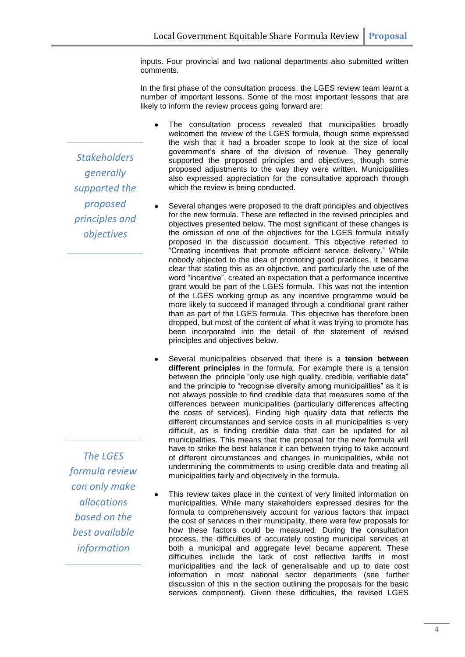inputs. Four provincial and two national departments also submitted written comments.

In the first phase of the consultation process, the LGES review team learnt a number of important lessons. Some of the most important lessons that are likely to inform the review process going forward are:

The consultation process revealed that municipalities broadly welcomed the review of the LGES formula, though some expressed the wish that it had a broader scope to look at the size of local government's share of the division of revenue. They generally supported the proposed principles and objectives, though some proposed adjustments to the way they were written. Municipalities also expressed appreciation for the consultative approach through which the review is being conducted.

- Several changes were proposed to the draft principles and objectives for the new formula. These are reflected in the revised principles and objectives presented below. The most significant of these changes is the omission of one of the objectives for the LGES formula initially proposed in the discussion document. This objective referred to "Creating incentives that promote efficient service delivery." While nobody objected to the idea of promoting good practices, it became clear that stating this as an objective, and particularly the use of the word "incentive", created an expectation that a performance incentive grant would be part of the LGES formula. This was not the intention of the LGES working group as any incentive programme would be more likely to succeed if managed through a conditional grant rather than as part of the LGES formula. This objective has therefore been dropped, but most of the content of what it was trying to promote has been incorporated into the detail of the statement of revised principles and objectives below.
- Several municipalities observed that there is a **tension between different principles** in the formula. For example there is a tension between the principle "only use high quality, credible, verifiable data" and the principle to "recognise diversity among municipalities" as it is not always possible to find credible data that measures some of the differences between municipalities (particularly differences affecting the costs of services). Finding high quality data that reflects the different circumstances and service costs in all municipalities is very difficult, as is finding credible data that can be updated for all municipalities. This means that the proposal for the new formula will have to strike the best balance it can between trying to take account of different circumstances and changes in municipalities, while not undermining the commitments to using credible data and treating all municipalities fairly and objectively in the formula.
- This review takes place in the context of very limited information on municipalities. While many stakeholders expressed desires for the formula to comprehensively account for various factors that impact the cost of services in their municipality, there were few proposals for how these factors could be measured. During the consultation process, the difficulties of accurately costing municipal services at both a municipal and aggregate level became apparent. These difficulties include the lack of cost reflective tariffs in most municipalities and the lack of generalisable and up to date cost information in most national sector departments (see further discussion of this in the section outlining the proposals for the basic services component). Given these difficulties, the revised LGES

*Stakeholders generally supported the proposed principles and objectives*

*The LGES formula review can only make allocations based on the best available information*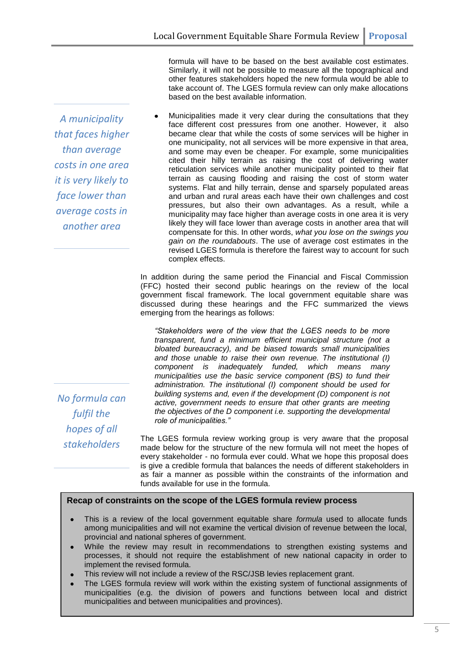formula will have to be based on the best available cost estimates. Similarly, it will not be possible to measure all the topographical and other features stakeholders hoped the new formula would be able to take account of. The LGES formula review can only make allocations based on the best available information.

Municipalities made it very clear during the consultations that they face different cost pressures from one another. However, it also became clear that while the costs of some services will be higher in one municipality, not all services will be more expensive in that area, and some may even be cheaper. For example, some municipalities cited their hilly terrain as raising the cost of delivering water reticulation services while another municipality pointed to their flat terrain as causing flooding and raising the cost of storm water systems. Flat and hilly terrain, dense and sparsely populated areas and urban and rural areas each have their own challenges and cost pressures, but also their own advantages. As a result, while a municipality may face higher than average costs in one area it is very likely they will face lower than average costs in another area that will compensate for this. In other words, *what you lose on the swings you gain on the roundabouts*. The use of average cost estimates in the revised LGES formula is therefore the fairest way to account for such complex effects.

In addition during the same period the Financial and Fiscal Commission (FFC) hosted their second public hearings on the review of the local government fiscal framework. The local government equitable share was discussed during these hearings and the FFC summarized the views emerging from the hearings as follows:

*"Stakeholders were of the view that the LGES needs to be more transparent, fund a minimum efficient municipal structure (not a bloated bureaucracy), and be biased towards small municipalities and those unable to raise their own revenue. The institutional (I) component is inadequately funded, which means many municipalities use the basic service component (BS) to fund their administration. The institutional (I) component should be used for building systems and, even if the development (D) component is not active, government needs to ensure that other grants are meeting the objectives of the D component i.e. supporting the developmental role of municipalities."*

The LGES formula review working group is very aware that the proposal made below for the structure of the new formula will not meet the hopes of every stakeholder - no formula ever could. What we hope this proposal does is give a credible formula that balances the needs of different stakeholders in as fair a manner as possible within the constraints of the information and funds available for use in the formula.

#### **Recap of constraints on the scope of the LGES formula review process**

- This is a review of the local government equitable share *formula* used to allocate funds among municipalities and will not examine the vertical division of revenue between the local, provincial and national spheres of government.
- While the review may result in recommendations to strengthen existing systems and  $\bullet$ processes, it should not require the establishment of new national capacity in order to implement the revised formula.
- This review will not include a review of the RSC/JSB levies replacement grant.  $\bullet$
- The LGES formula review will work within the existing system of functional assignments of municipalities (e.g. the division of powers and functions between local and district municipalities and between municipalities and provinces).

*No formula can fulfil the hopes of all stakeholders*

*A municipality that faces higher than average* 

*costs in one area it is very likely to face lower than average costs in another area*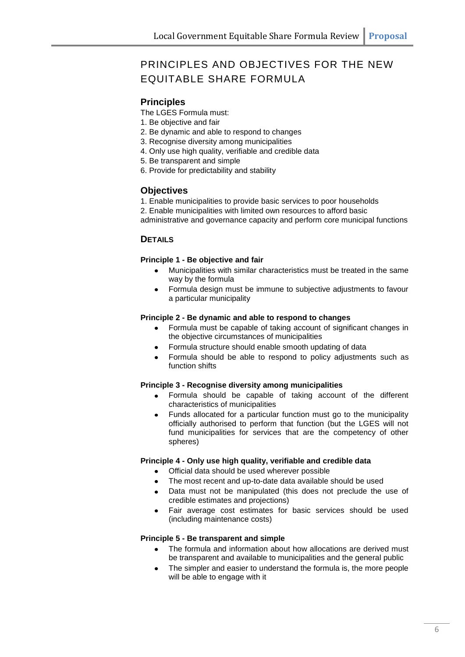### PRINCIPLES AND OBJECTIVES FOR THE NEW EQUITABLE SHARE FORMULA

#### **Principles**

The LGES Formula must:

- 1. Be objective and fair
- 2. Be dynamic and able to respond to changes
- 3. Recognise diversity among municipalities
- 4. Only use high quality, verifiable and credible data
- 5. Be transparent and simple
- 6. Provide for predictability and stability

#### **Objectives**

- 1. Enable municipalities to provide basic services to poor households
- 2. Enable municipalities with limited own resources to afford basic

administrative and governance capacity and perform core municipal functions

#### **DETAILS**

#### **Principle 1 - Be objective and fair**

- Municipalities with similar characteristics must be treated in the same way by the formula
- Formula design must be immune to subjective adjustments to favour a particular municipality

#### **Principle 2 - Be dynamic and able to respond to changes**

- Formula must be capable of taking account of significant changes in the objective circumstances of municipalities
- Formula structure should enable smooth updating of data
- Formula should be able to respond to policy adjustments such as function shifts

#### **Principle 3 - Recognise diversity among municipalities**

- Formula should be capable of taking account of the different characteristics of municipalities
- Funds allocated for a particular function must go to the municipality officially authorised to perform that function (but the LGES will not fund municipalities for services that are the competency of other spheres)

#### **Principle 4 - Only use high quality, verifiable and credible data**

- Official data should be used wherever possible
- The most recent and up-to-date data available should be used
- Data must not be manipulated (this does not preclude the use of credible estimates and projections)
- Fair average cost estimates for basic services should be used (including maintenance costs)

#### **Principle 5 - Be transparent and simple**

- The formula and information about how allocations are derived must be transparent and available to municipalities and the general public
- The simpler and easier to understand the formula is, the more people will be able to engage with it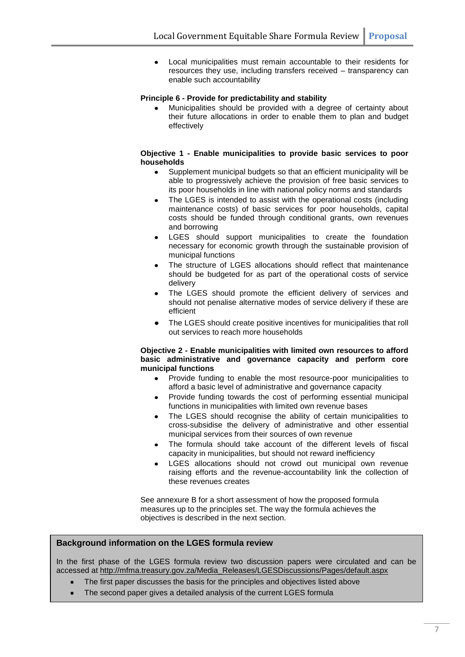Local municipalities must remain accountable to their residents for  $\bullet$ resources they use, including transfers received – transparency can enable such accountability

#### **Principle 6 - Provide for predictability and stability**

Municipalities should be provided with a degree of certainty about their future allocations in order to enable them to plan and budget effectively

#### **Objective 1 - Enable municipalities to provide basic services to poor households**

- Supplement municipal budgets so that an efficient municipality will be  $\bullet$ able to progressively achieve the provision of free basic services to its poor households in line with national policy norms and standards
- The LGES is intended to assist with the operational costs (including maintenance costs) of basic services for poor households, capital costs should be funded through conditional grants, own revenues and borrowing
- LGES should support municipalities to create the foundation necessary for economic growth through the sustainable provision of municipal functions
- The structure of LGES allocations should reflect that maintenance should be budgeted for as part of the operational costs of service delivery
- The LGES should promote the efficient delivery of services and should not penalise alternative modes of service delivery if these are efficient
- The LGES should create positive incentives for municipalities that roll out services to reach more households

#### **Objective 2 - Enable municipalities with limited own resources to afford basic administrative and governance capacity and perform core municipal functions**

- Provide funding to enable the most resource-poor municipalities to  $\bullet$ afford a basic level of administrative and governance capacity
- Provide funding towards the cost of performing essential municipal functions in municipalities with limited own revenue bases
- The LGES should recognise the ability of certain municipalities to  $\bullet$ cross-subsidise the delivery of administrative and other essential municipal services from their sources of own revenue
- The formula should take account of the different levels of fiscal capacity in municipalities, but should not reward inefficiency
- LGES allocations should not crowd out municipal own revenue raising efforts and the revenue-accountability link the collection of these revenues creates

See annexure B for a short assessment of how the proposed formula measures up to the principles set. The way the formula achieves the objectives is described in the next section.

#### **Background information on the LGES formula review**

In the first phase of the LGES formula review two discussion papers were circulated and can be accessed at http://mfma.treasury.gov.za/Media\_Releases/LGESDiscussions/Pages/default.aspx

- The first paper discusses the basis for the principles and objectives listed above
- The second paper gives a detailed analysis of the current LGES formula $\bullet$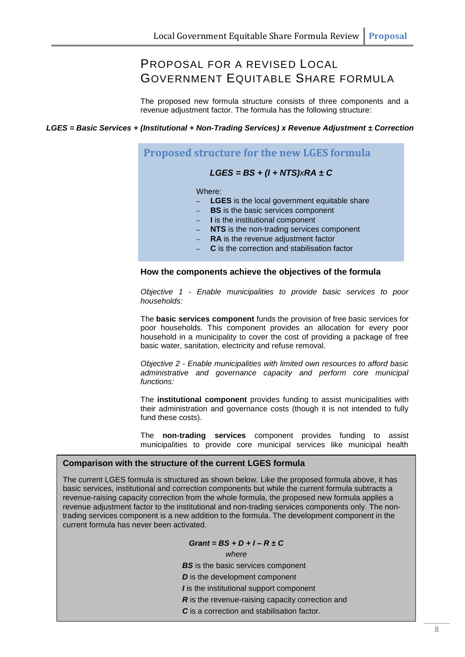### PROPOSAL FOR A REVISED LOCAL GOVERNMENT EQUITABLE SHARE FORMULA

The proposed new formula structure consists of three components and a revenue adjustment factor. The formula has the following structure:

#### *LGES = Basic Services + (Institutional + Non-Trading Services) x Revenue Adjustment ± Correction*

### **Proposed structure for the new LGES formula** *LGES = BS + (I + NTS)xRA ± C*

Where:

- **LGES** is the local government equitable share
- **BS** is the basic services component
- **I** is the institutional component
- **NTS** is the non-trading services component
- **RA** is the revenue adjustment factor
- **C** is the correction and stabilisation factor

#### **How the components achieve the objectives of the formula**

*Objective 1 - Enable municipalities to provide basic services to poor households:*

The **basic services component** funds the provision of free basic services for poor households. This component provides an allocation for every poor household in a municipality to cover the cost of providing a package of free basic water, sanitation, electricity and refuse removal.

*Objective 2 - Enable municipalities with limited own resources to afford basic administrative and governance capacity and perform core municipal functions:*

The **institutional component** provides funding to assist municipalities with their administration and governance costs (though it is not intended to fully fund these costs).

The **non-trading services** component provides funding to assist municipalities to provide core municipal services like municipal health

#### **Comparison with the structure of the current LGES formula**

The current LGES formula is structured as shown below. Like the proposed formula above, it has basic services, institutional and correction components but while the current formula subtracts a revenue-raising capacity correction from the whole formula, the proposed new formula applies a revenue adjustment factor to the institutional and non-trading services components only. The nontrading services component is a new addition to the formula. The development component in the current formula has never been activated.

#### *Grant = BS + D + I – R ± C*

*where*

**BS** is the basic services component

*D* is the development component

*I* is the institutional support component

*R* is the revenue-raising capacity correction and

*C* is a correction and stabilisation factor.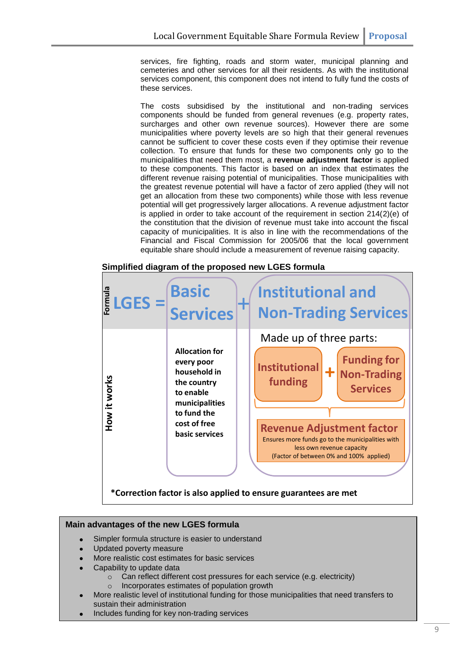services, fire fighting, roads and storm water, municipal planning and cemeteries and other services for all their residents. As with the institutional services component, this component does not intend to fully fund the costs of these services.

The costs subsidised by the institutional and non-trading services components should be funded from general revenues (e.g. property rates, surcharges and other own revenue sources). However there are some municipalities where poverty levels are so high that their general revenues cannot be sufficient to cover these costs even if they optimise their revenue collection. To ensure that funds for these two components only go to the municipalities that need them most, a **revenue adjustment factor** is applied to these components. This factor is based on an index that estimates the different revenue raising potential of municipalities. Those municipalities with the greatest revenue potential will have a factor of zero applied (they will not get an allocation from these two components) while those with less revenue potential will get progressively larger allocations. A revenue adjustment factor is applied in order to take account of the requirement in section 214(2)(e) of the constitution that the division of revenue must take into account the fiscal capacity of municipalities. It is also in line with the recommendations of the Financial and Fiscal Commission for 2005/06 that the local government equitable share should include a measurement of revenue raising capacity.

#### **Simplified diagram of the proposed new LGES formula**



#### **Main advantages of the new LGES formula**

- Simpler formula structure is easier to understand
- Updated poverty measure
- More realistic cost estimates for basic services
- Capability to update data
	- $\circ$  Can reflect different cost pressures for each service (e.g. electricity)
	- o Incorporates estimates of population growth
- More realistic level of institutional funding for those municipalities that need transfers to sustain their administration
- Includes funding for key non-trading services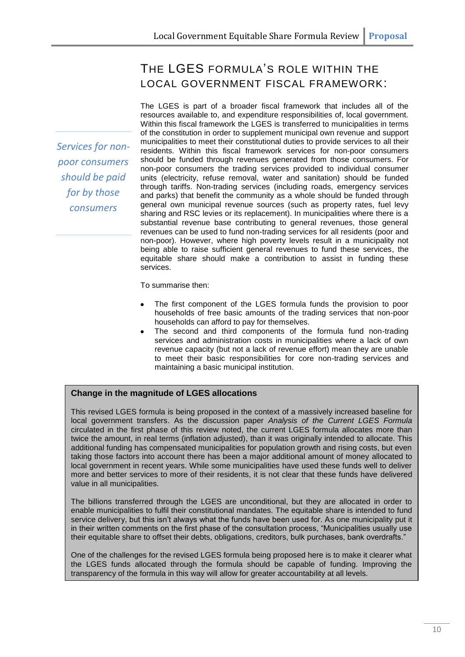### THE LGES FORMULA'S ROLE WITHIN THE LOCAL GOVERNMENT FISCAL FRAMEWORK:

The LGES is part of a broader fiscal framework that includes all of the resources available to, and expenditure responsibilities of, local government. Within this fiscal framework the LGES is transferred to municipalities in terms of the constitution in order to supplement municipal own revenue and support municipalities to meet their constitutional duties to provide services to all their residents. Within this fiscal framework services for non-poor consumers should be funded through revenues generated from those consumers. For non-poor consumers the trading services provided to individual consumer units (electricity, refuse removal, water and sanitation) should be funded through tariffs. Non-trading services (including roads, emergency services and parks) that benefit the community as a whole should be funded through general own municipal revenue sources (such as property rates, fuel levy sharing and RSC levies or its replacement). In municipalities where there is a substantial revenue base contributing to general revenues, those general revenues can be used to fund non-trading services for all residents (poor and non-poor). However, where high poverty levels result in a municipality not being able to raise sufficient general revenues to fund these services, the equitable share should make a contribution to assist in funding these services.

To summarise then:

- The first component of the LGES formula funds the provision to poor households of free basic amounts of the trading services that non-poor households can afford to pay for themselves.
- The second and third components of the formula fund non-trading services and administration costs in municipalities where a lack of own revenue capacity (but not a lack of revenue effort) mean they are unable to meet their basic responsibilities for core non-trading services and maintaining a basic municipal institution.

#### **Change in the magnitude of LGES allocations**

This revised LGES formula is being proposed in the context of a massively increased baseline for local government transfers. As the discussion paper *Analysis of the Current LGES Formula* circulated in the first phase of this review noted, the current LGES formula allocates more than twice the amount, in real terms (inflation adjusted), than it was originally intended to allocate. This additional funding has compensated municipalities for population growth and rising costs, but even taking those factors into account there has been a major additional amount of money allocated to local government in recent years. While some municipalities have used these funds well to deliver more and better services to more of their residents, it is not clear that these funds have delivered value in all municipalities.

The billions transferred through the LGES are unconditional, but they are allocated in order to enable municipalities to fulfil their constitutional mandates. The equitable share is intended to fund service delivery, but this isn't always what the funds have been used for. As one municipality put it in their written comments on the first phase of the consultation process, "Municipalities usually use their equitable share to offset their debts, obligations, creditors, bulk purchases, bank overdrafts."

One of the challenges for the revised LGES formula being proposed here is to make it clearer what the LGES funds allocated through the formula should be capable of funding. Improving the transparency of the formula in this way will allow for greater accountability at all levels.

*Services for nonpoor consumers should be paid for by those consumers*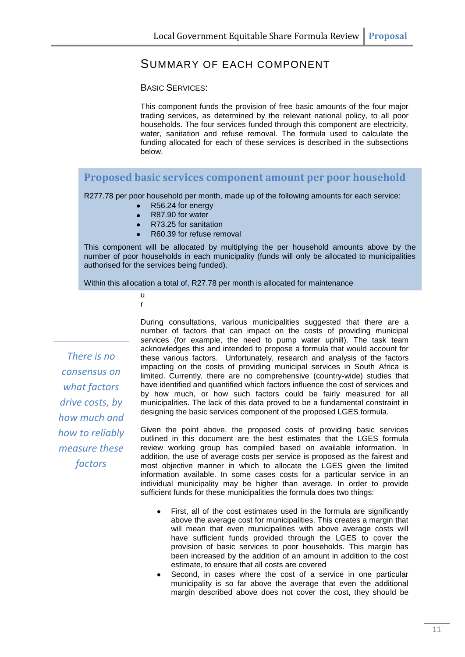### SUMMARY OF EACH COMPONENT

BASIC SERVICES:

This component funds the provision of free basic amounts of the four major trading services, as determined by the relevant national policy, to all poor households. The four services funded through this component are electricity, water, sanitation and refuse removal. The formula used to calculate the funding allocated for each of these services is described in the subsections below.

#### **Proposed basic services component amount per poor household**

R277.78 per poor household per month, made up of the following amounts for each service:

- R56.24 for energy
- R87.90 for water
- R73.25 for sanitation
- R60.39 for refuse removal

This component will be allocated by multiplying the per household amounts above by the number of poor households in each municipality (funds will only be allocated to municipalities authorised for the services being funded).

Within this allocation a total of, R27.78 per month is allocated for maintenance

u r

*There is no consensus on what factors drive costs, by how much and how to reliably measure these factors* 

During consultations, various municipalities suggested that there are a number of factors that can impact on the costs of providing municipal services (for example, the need to pump water uphill). The task team acknowledges this and intended to propose a formula that would account for these various factors. Unfortunately, research and analysis of the factors impacting on the costs of providing municipal services in South Africa is limited. Currently, there are no comprehensive (country-wide) studies that have identified and quantified which factors influence the cost of services and by how much, or how such factors could be fairly measured for all municipalities. The lack of this data proved to be a fundamental constraint in designing the basic services component of the proposed LGES formula.

Given the point above, the proposed costs of providing basic services outlined in this document are the best estimates that the LGES formula review working group has compiled based on available information. In addition, the use of average costs per service is proposed as the fairest and most objective manner in which to allocate the LGES given the limited information available. In some cases costs for a particular service in an individual municipality may be higher than average. In order to provide sufficient funds for these municipalities the formula does two things:

- First, all of the cost estimates used in the formula are significantly  $\bullet$ above the average cost for municipalities. This creates a margin that will mean that even municipalities with above average costs will have sufficient funds provided through the LGES to cover the provision of basic services to poor households. This margin has been increased by the addition of an amount in addition to the cost estimate, to ensure that all costs are covered
- Second, in cases where the cost of a service in one particular municipality is so far above the average that even the additional margin described above does not cover the cost, they should be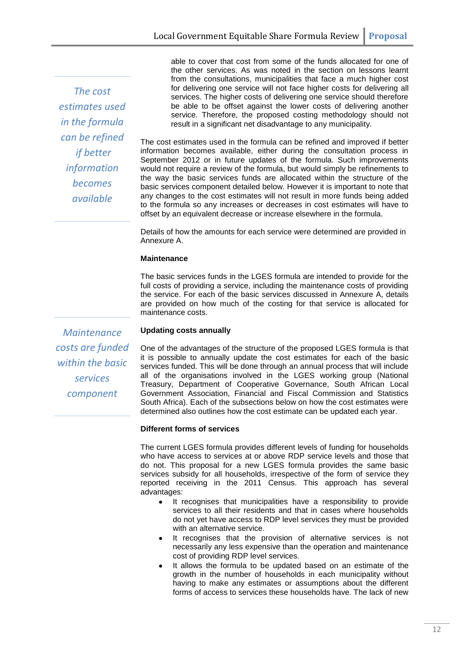*The cost estimates used in the formula can be refined if better information becomes available*

able to cover that cost from some of the funds allocated for one of the other services. As was noted in the section on lessons learnt from the consultations, municipalities that face a much higher cost for delivering one service will not face higher costs for delivering all services. The higher costs of delivering one service should therefore be able to be offset against the lower costs of delivering another service. Therefore, the proposed costing methodology should not result in a significant net disadvantage to any municipality.

The cost estimates used in the formula can be refined and improved if better information becomes available, either during the consultation process in September 2012 or in future updates of the formula. Such improvements would not require a review of the formula, but would simply be refinements to the way the basic services funds are allocated within the structure of the basic services component detailed below. However it is important to note that any changes to the cost estimates will not result in more funds being added to the formula so any increases or decreases in cost estimates will have to offset by an equivalent decrease or increase elsewhere in the formula.

Details of how the amounts for each service were determined are provided in Annexure A.

#### **Maintenance**

The basic services funds in the LGES formula are intended to provide for the full costs of providing a service, including the maintenance costs of providing the service. For each of the basic services discussed in Annexure A, details are provided on how much of the costing for that service is allocated for maintenance costs.

*Maintenance costs are funded within the basic services component*

#### **Updating costs annually**

One of the advantages of the structure of the proposed LGES formula is that it is possible to annually update the cost estimates for each of the basic services funded. This will be done through an annual process that will include all of the organisations involved in the LGES working group (National Treasury, Department of Cooperative Governance, South African Local Government Association, Financial and Fiscal Commission and Statistics South Africa). Each of the subsections below on how the cost estimates were determined also outlines how the cost estimate can be updated each year.

#### **Different forms of services**

The current LGES formula provides different levels of funding for households who have access to services at or above RDP service levels and those that do not. This proposal for a new LGES formula provides the same basic services subsidy for all households, irrespective of the form of service they reported receiving in the 2011 Census. This approach has several advantages:

- It recognises that municipalities have a responsibility to provide services to all their residents and that in cases where households do not yet have access to RDP level services they must be provided with an alternative service.
- It recognises that the provision of alternative services is not necessarily any less expensive than the operation and maintenance cost of providing RDP level services.
- It allows the formula to be updated based on an estimate of the growth in the number of households in each municipality without having to make any estimates or assumptions about the different forms of access to services these households have. The lack of new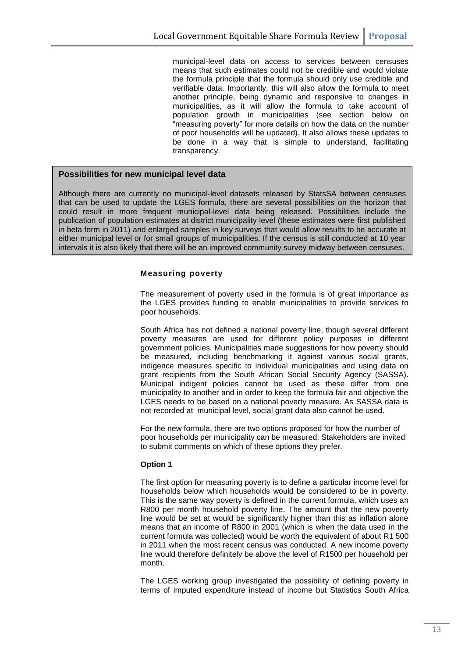municipal-level data on access to services between censuses means that such estimates could not be credible and would violate the formula principle that the formula should only use credible and verifiable data. Importantly, this will also allow the formula to meet another principle, being dynamic and responsive to changes in municipalities, as it will allow the formula to take account of population growth in municipalities (see section below on "measuring poverty" for more details on how the data on the number of poor households will be updated). It also allows these updates to be done in a way that is simple to understand, facilitating transparency.

#### **Possibilities for new municipal level data**

Although there are currently no municipal-level datasets released by StatsSA between censuses that can be used to update the LGES formula, there are several possibilities on the horizon that could result in more frequent municipal-level data being released. Possibilities include the publication of population estimates at district municipality level (these estimates were first published in beta form in 2011) and enlarged samples in key surveys that would allow results to be accurate at either municipal level or for small groups of municipalities. If the census is still conducted at 10 year intervals it is also likely that there will be an improved community survey midway between censuses.

#### **Measuring poverty**

The measurement of poverty used in the formula is of great importance as the LGES provides funding to enable municipalities to provide services to poor households.

South Africa has not defined a national poverty line, though several different poverty measures are used for different policy purposes in different government policies. Municipalities made suggestions for how poverty should be measured, including benchmarking it against various social grants, indigence measures specific to individual municipalities and using data on grant recipients from the South African Social Security Agency (SASSA). Municipal indigent policies cannot be used as these differ from one municipality to another and in order to keep the formula fair and objective the LGES needs to be based on a national poverty measure. As SASSA data is not recorded at municipal level, social grant data also cannot be used.

For the new formula, there are two options proposed for how the number of poor households per municipality can be measured. Stakeholders are invited to submit comments on which of these options they prefer.

#### **Option 1**

The first option for measuring poverty is to define a particular income level for households below which households would be considered to be in poverty. This is the same way poverty is defined in the current formula, which uses an R800 per month household poverty line. The amount that the new poverty line would be set at would be significantly higher than this as inflation alone means that an income of R800 in 2001 (which is when the data used in the current formula was collected) would be worth the equivalent of about R1 500 in 2011 when the most recent census was conducted. A new income poverty line would therefore definitely be above the level of R1500 per household per month.

The LGES working group investigated the possibility of defining poverty in terms of imputed expenditure instead of income but Statistics South Africa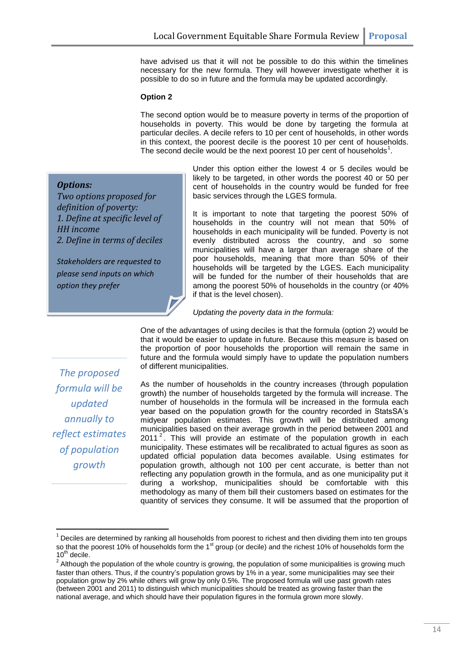have advised us that it will not be possible to do this within the timelines necessary for the new formula. They will however investigate whether it is possible to do so in future and the formula may be updated accordingly.

#### **Option 2**

The second option would be to measure poverty in terms of the proportion of households in poverty. This would be done by targeting the formula at particular deciles. A decile refers to 10 per cent of households, in other words in this context, the poorest decile is the poorest 10 per cent of households. The second decile would be the next poorest 10 per cent of households $<sup>1</sup>$ .</sup>

#### *Options:*

*Two options proposed for definition of poverty: 1. Define at specific level of HH income 2. Define in terms of deciles*

*Stakeholders are requested to please send inputs on which option they prefer*

Under this option either the lowest 4 or 5 deciles would be likely to be targeted, in other words the poorest 40 or 50 per cent of households in the country would be funded for free basic services through the LGES formula.

It is important to note that targeting the poorest 50% of households in the country will not mean that 50% of households in each municipality will be funded. Poverty is not evenly distributed across the country, and so some municipalities will have a larger than average share of the poor households, meaning that more than 50% of their households will be targeted by the LGES. Each municipality will be funded for the number of their households that are among the poorest 50% of households in the country (or 40% if that is the level chosen).

#### *Updating the poverty data in the formula:*

One of the advantages of using deciles is that the formula (option 2) would be that it would be easier to update in future. Because this measure is based on the proportion of poor households the proportion will remain the same in future and the formula would simply have to update the population numbers of different municipalities.

*The proposed formula will be updated annually to reflect estimates of population growth*

**.** 

As the number of households in the country increases (through population growth) the number of households targeted by the formula will increase. The number of households in the formula will be increased in the formula each year based on the population growth for the country recorded in StatsSA's midyear population estimates. This growth will be distributed among municipalities based on their average growth in the period between 2001 and 2011 $2$ . This will provide an estimate of the population growth in each municipality. These estimates will be recalibrated to actual figures as soon as updated official population data becomes available. Using estimates for population growth, although not 100 per cent accurate, is better than not reflecting any population growth in the formula, and as one municipality put it during a workshop, municipalities should be comfortable with this methodology as many of them bill their customers based on estimates for the quantity of services they consume. It will be assumed that the proportion of

 $1$  Deciles are determined by ranking all households from poorest to richest and then dividing them into ten groups so that the poorest 10% of households form the 1<sup>st</sup> group (or decile) and the richest 10% of households form the  $10^{th}$  decile.

 $2$  Although the population of the whole country is growing, the population of some municipalities is growing much faster than others. Thus, if the country's population grows by 1% in a year, some municipalities may see their population grow by 2% while others will grow by only 0.5%. The proposed formula will use past growth rates (between 2001 and 2011) to distinguish which municipalities should be treated as growing faster than the national average, and which should have their population figures in the formula grown more slowly.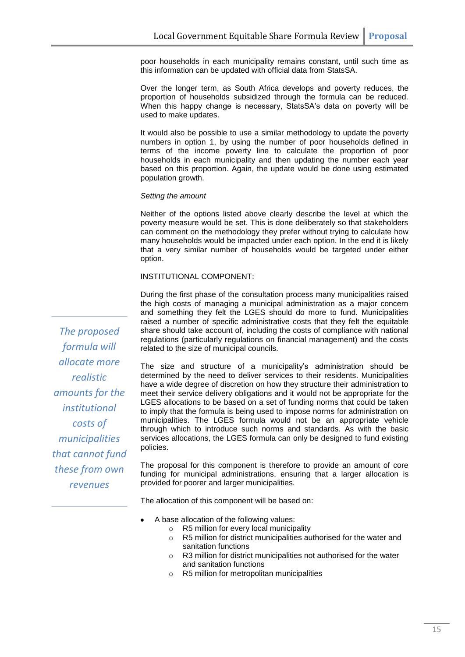poor households in each municipality remains constant, until such time as this information can be updated with official data from StatsSA.

Over the longer term, as South Africa develops and poverty reduces, the proportion of households subsidized through the formula can be reduced. When this happy change is necessary, StatsSA's data on poverty will be used to make updates.

It would also be possible to use a similar methodology to update the poverty numbers in option 1, by using the number of poor households defined in terms of the income poverty line to calculate the proportion of poor households in each municipality and then updating the number each year based on this proportion. Again, the update would be done using estimated population growth.

#### *Setting the amount*

Neither of the options listed above clearly describe the level at which the poverty measure would be set. This is done deliberately so that stakeholders can comment on the methodology they prefer without trying to calculate how many households would be impacted under each option. In the end it is likely that a very similar number of households would be targeted under either option.

INSTITUTIONAL COMPONENT:

During the first phase of the consultation process many municipalities raised the high costs of managing a municipal administration as a major concern and something they felt the LGES should do more to fund. Municipalities raised a number of specific administrative costs that they felt the equitable share should take account of, including the costs of compliance with national regulations (particularly regulations on financial management) and the costs related to the size of municipal councils.

The size and structure of a municipality's administration should be determined by the need to deliver services to their residents. Municipalities have a wide degree of discretion on how they structure their administration to meet their service delivery obligations and it would not be appropriate for the LGES allocations to be based on a set of funding norms that could be taken to imply that the formula is being used to impose norms for administration on municipalities. The LGES formula would not be an appropriate vehicle through which to introduce such norms and standards. As with the basic services allocations, the LGES formula can only be designed to fund existing policies.

The proposal for this component is therefore to provide an amount of core funding for municipal administrations, ensuring that a larger allocation is provided for poorer and larger municipalities.

The allocation of this component will be based on:

- A base allocation of the following values:
	- $\circ$  R5 million for every local municipality  $\circ$  R5 million for district municipalities and
	- R5 million for district municipalities authorised for the water and sanitation functions
	- o R3 million for district municipalities not authorised for the water and sanitation functions
	- o R5 million for metropolitan municipalities

*The proposed formula will allocate more realistic amounts for the institutional costs of municipalities that cannot fund these from own revenues*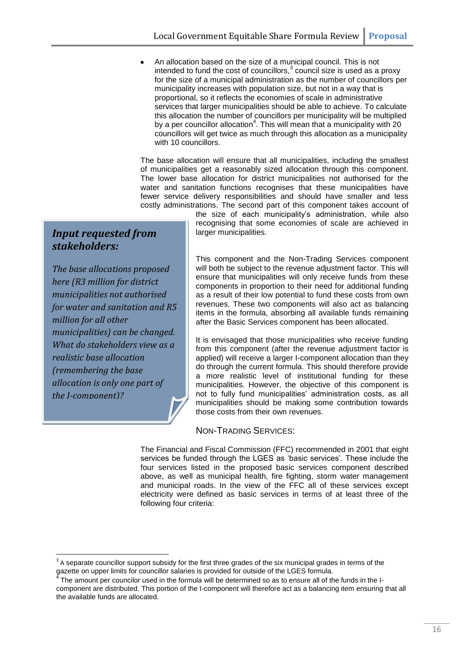An allocation based on the size of a municipal council. This is not intended to fund the cost of councillors, $3$  council size is used as a proxy for the size of a municipal administration as the number of councillors per municipality increases with population size, but not in a way that is proportional, so it reflects the economies of scale in administrative services that larger municipalities should be able to achieve. To calculate this allocation the number of councillors per municipality will be multiplied by a per councillor allocation<sup>4</sup>. This will mean that a municipality with 20 councillors will get twice as much through this allocation as a municipality with 10 councillors.

The base allocation will ensure that all municipalities, including the smallest of municipalities get a reasonably sized allocation through this component. The lower base allocation for district municipalities not authorised for the water and sanitation functions recognises that these municipalities have fewer service delivery responsibilities and should have smaller and less costly administrations. The second part of this component takes account of

> the size of each municipality's administration, while also recognising that some economies of scale are achieved in larger municipalities.

#### *Input requested from stakeholders:*

*The base allocations proposed here (R3 million for district municipalities not authorised for water and sanitation and R5 million for all other municipalities) can be changed. What do stakeholders view as a realistic base allocation (remembering the base allocation is only one part of the I-component)?*

**.** 

This component and the Non-Trading Services component will both be subject to the revenue adjustment factor. This will ensure that municipalities will only receive funds from these components in proportion to their need for additional funding as a result of their low potential to fund these costs from own revenues. These two components will also act as balancing items in the formula, absorbing all available funds remaining after the Basic Services component has been allocated.

It is envisaged that those municipalities who receive funding from this component (after the revenue adjustment factor is applied) will receive a larger I-component allocation than they do through the current formula. This should therefore provide a more realistic level of institutional funding for these municipalities. However, the objective of this component is not to fully fund municipalities' administration costs, as all municipalities should be making some contribution towards those costs from their own revenues.

#### NON-TRADING SERVICES:

The Financial and Fiscal Commission (FFC) recommended in 2001 that eight services be funded through the LGES as 'basic services'. These include the four services listed in the proposed basic services component described above, as well as municipal health, fire fighting, storm water management and municipal roads. In the view of the FFC all of these services except electricity were defined as basic services in terms of at least three of the following four criteria:

 $3$  A separate councillor support subsidy for the first three grades of the six municipal grades in terms of the gazette on upper limits for councillor salaries is provided for outside of the LGES formula.

<sup>4</sup> The amount per councilor used in the formula will be determined so as to ensure all of the funds in the Icomponent are distributed. This portion of the I-component will therefore act as a balancing item ensuring that all the available funds are allocated.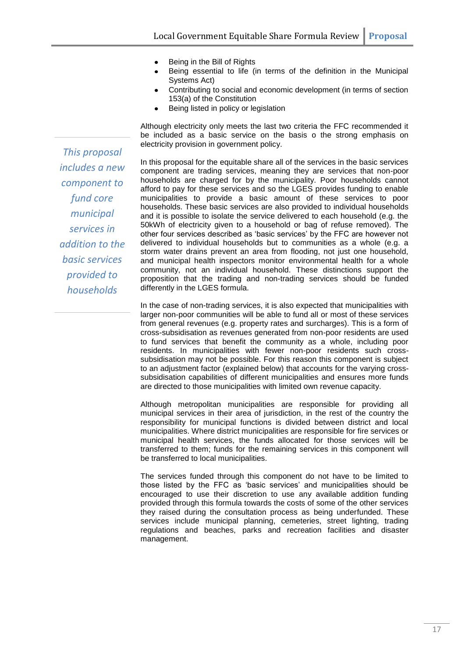- Being in the Bill of Rights  $\bullet$
- Being essential to life (in terms of the definition in the Municipal Systems Act)
- Contributing to social and economic development (in terms of section 153(a) of the Constitution
- Being listed in policy or legislation

Although electricity only meets the last two criteria the FFC recommended it be included as a basic service on the basis o the strong emphasis on electricity provision in government policy.

In this proposal for the equitable share all of the services in the basic services component are trading services, meaning they are services that non-poor households are charged for by the municipality. Poor households cannot afford to pay for these services and so the LGES provides funding to enable municipalities to provide a basic amount of these services to poor households. These basic services are also provided to individual households and it is possible to isolate the service delivered to each household (e.g. the 50kWh of electricity given to a household or bag of refuse removed). The other four services described as 'basic services' by the FFC are however not delivered to individual households but to communities as a whole (e.g. a storm water drains prevent an area from flooding, not just one household, and municipal health inspectors monitor environmental health for a whole community, not an individual household. These distinctions support the proposition that the trading and non-trading services should be funded differently in the LGES formula.

In the case of non-trading services, it is also expected that municipalities with larger non-poor communities will be able to fund all or most of these services from general revenues (e.g. property rates and surcharges). This is a form of cross-subsidisation as revenues generated from non-poor residents are used to fund services that benefit the community as a whole, including poor residents. In municipalities with fewer non-poor residents such crosssubsidisation may not be possible. For this reason this component is subject to an adjustment factor (explained below) that accounts for the varying crosssubsidisation capabilities of different municipalities and ensures more funds are directed to those municipalities with limited own revenue capacity.

Although metropolitan municipalities are responsible for providing all municipal services in their area of jurisdiction, in the rest of the country the responsibility for municipal functions is divided between district and local municipalities. Where district municipalities are responsible for fire services or municipal health services, the funds allocated for those services will be transferred to them; funds for the remaining services in this component will be transferred to local municipalities.

The services funded through this component do not have to be limited to those listed by the FFC as 'basic services' and municipalities should be encouraged to use their discretion to use any available addition funding provided through this formula towards the costs of some of the other services they raised during the consultation process as being underfunded. These services include municipal planning, cemeteries, street lighting, trading regulations and beaches, parks and recreation facilities and disaster management.

*This proposal includes a new component to fund core municipal services in addition to the basic services provided to households*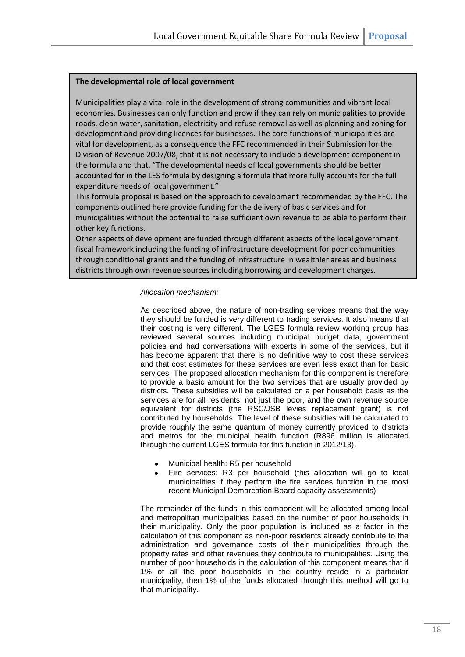#### **The developmental role of local government**

Municipalities play a vital role in the development of strong communities and vibrant local economies. Businesses can only function and grow if they can rely on municipalities to provide roads, clean water, sanitation, electricity and refuse removal as well as planning and zoning for development and providing licences for businesses. The core functions of municipalities are vital for development, as a consequence the FFC recommended in their Submission for the Division of Revenue 2007/08, that it is not necessary to include a development component in the formula and that, "The developmental needs of local governments should be better accounted for in the LES formula by designing a formula that more fully accounts for the full expenditure needs of local government."

This formula proposal is based on the approach to development recommended by the FFC. The components outlined here provide funding for the delivery of basic services and for municipalities without the potential to raise sufficient own revenue to be able to perform their other key functions.

Other aspects of development are funded through different aspects of the local government fiscal framework including the funding of infrastructure development for poor communities through conditional grants and the funding of infrastructure in wealthier areas and business districts through own revenue sources including borrowing and development charges.

#### *Allocation mechanism:*

As described above, the nature of non-trading services means that the way they should be funded is very different to trading services. It also means that their costing is very different. The LGES formula review working group has reviewed several sources including municipal budget data, government policies and had conversations with experts in some of the services, but it has become apparent that there is no definitive way to cost these services and that cost estimates for these services are even less exact than for basic services. The proposed allocation mechanism for this component is therefore to provide a basic amount for the two services that are usually provided by districts. These subsidies will be calculated on a per household basis as the services are for all residents, not just the poor, and the own revenue source equivalent for districts (the RSC/JSB levies replacement grant) is not contributed by households. The level of these subsidies will be calculated to provide roughly the same quantum of money currently provided to districts and metros for the municipal health function (R896 million is allocated through the current LGES formula for this function in 2012/13).

- Municipal health: R5 per household
- Fire services: R3 per household (this allocation will go to local municipalities if they perform the fire services function in the most recent Municipal Demarcation Board capacity assessments)

The remainder of the funds in this component will be allocated among local and metropolitan municipalities based on the number of poor households in their municipality. Only the poor population is included as a factor in the calculation of this component as non-poor residents already contribute to the administration and governance costs of their municipalities through the property rates and other revenues they contribute to municipalities. Using the number of poor households in the calculation of this component means that if 1% of all the poor households in the country reside in a particular municipality, then 1% of the funds allocated through this method will go to that municipality.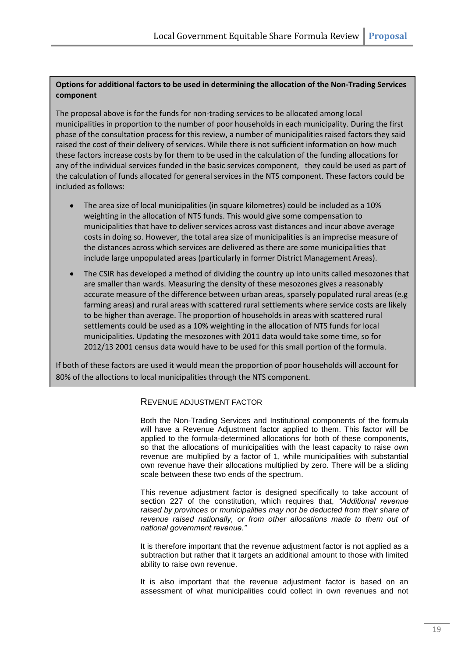#### **Options for additional factors to be used in determining the allocation of the Non-Trading Services component**

The proposal above is for the funds for non-trading services to be allocated among local municipalities in proportion to the number of poor households in each municipality. During the first phase of the consultation process for this review, a number of municipalities raised factors they said raised the cost of their delivery of services. While there is not sufficient information on how much these factors increase costs by for them to be used in the calculation of the funding allocations for any of the individual services funded in the basic services component, they could be used as part of the calculation of funds allocated for general services in the NTS component. These factors could be included as follows:

- The area size of local municipalities (in square kilometres) could be included as a 10% weighting in the allocation of NTS funds. This would give some compensation to municipalities that have to deliver services across vast distances and incur above average costs in doing so. However, the total area size of municipalities is an imprecise measure of the distances across which services are delivered as there are some municipalities that include large unpopulated areas (particularly in former District Management Areas).
- The CSIR has developed a method of dividing the country up into units called mesozones that are smaller than wards. Measuring the density of these mesozones gives a reasonably accurate measure of the difference between urban areas, sparsely populated rural areas (e.g farming areas) and rural areas with scattered rural settlements where service costs are likely to be higher than average. The proportion of households in areas with scattered rural settlements could be used as a 10% weighting in the allocation of NTS funds for local municipalities. Updating the mesozones with 2011 data would take some time, so for 2012/13 2001 census data would have to be used for this small portion of the formula.

If both of these factors are used it would mean the proportion of poor households will account for 80% of the alloctions to local municipalities through the NTS component.

#### REVENUE ADJUSTMENT FACTOR

Both the Non-Trading Services and Institutional components of the formula will have a Revenue Adjustment factor applied to them. This factor will be applied to the formula-determined allocations for both of these components, so that the allocations of municipalities with the least capacity to raise own revenue are multiplied by a factor of 1, while municipalities with substantial own revenue have their allocations multiplied by zero. There will be a sliding scale between these two ends of the spectrum.

This revenue adjustment factor is designed specifically to take account of section 227 of the constitution, which requires that, *"Additional revenue raised by provinces or municipalities may not be deducted from their share of revenue raised nationally, or from other allocations made to them out of national government revenue."*

It is therefore important that the revenue adjustment factor is not applied as a subtraction but rather that it targets an additional amount to those with limited ability to raise own revenue.

It is also important that the revenue adjustment factor is based on an assessment of what municipalities could collect in own revenues and not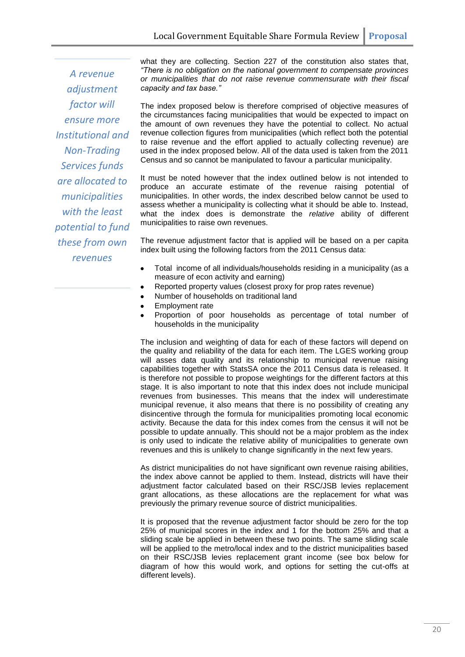*A revenue adjustment factor will ensure more Institutional and Non-Trading Services funds are allocated to municipalities with the least potential to fund these from own revenues*

what they are collecting. Section 227 of the constitution also states that, *"There is no obligation on the national government to compensate provinces or municipalities that do not raise revenue commensurate with their fiscal capacity and tax base."*

The index proposed below is therefore comprised of objective measures of the circumstances facing municipalities that would be expected to impact on the amount of own revenues they have the potential to collect. No actual revenue collection figures from municipalities (which reflect both the potential to raise revenue and the effort applied to actually collecting revenue) are used in the index proposed below. All of the data used is taken from the 2011 Census and so cannot be manipulated to favour a particular municipality.

It must be noted however that the index outlined below is not intended to produce an accurate estimate of the revenue raising potential of municipalities. In other words, the index described below cannot be used to assess whether a municipality is collecting what it should be able to. Instead, what the index does is demonstrate the *relative* ability of different municipalities to raise own revenues.

The revenue adjustment factor that is applied will be based on a per capita index built using the following factors from the 2011 Census data:

- Total income of all individuals/households residing in a municipality (as a  $\bullet$ measure of econ activity and earning)
- Reported property values (closest proxy for prop rates revenue)
- Number of households on traditional land
- Employment rate
- Proportion of poor households as percentage of total number of households in the municipality

The inclusion and weighting of data for each of these factors will depend on the quality and reliability of the data for each item. The LGES working group will asses data quality and its relationship to municipal revenue raising capabilities together with StatsSA once the 2011 Census data is released. It is therefore not possible to propose weightings for the different factors at this stage. It is also important to note that this index does not include municipal revenues from businesses. This means that the index will underestimate municipal revenue, it also means that there is no possibility of creating any disincentive through the formula for municipalities promoting local economic activity. Because the data for this index comes from the census it will not be possible to update annually. This should not be a major problem as the index is only used to indicate the relative ability of municipalities to generate own revenues and this is unlikely to change significantly in the next few years.

As district municipalities do not have significant own revenue raising abilities, the index above cannot be applied to them. Instead, districts will have their adjustment factor calculated based on their RSC/JSB levies replacement grant allocations, as these allocations are the replacement for what was previously the primary revenue source of district municipalities.

It is proposed that the revenue adjustment factor should be zero for the top 25% of municipal scores in the index and 1 for the bottom 25% and that a sliding scale be applied in between these two points. The same sliding scale will be applied to the metro/local index and to the district municipalities based on their RSC/JSB levies replacement grant income (see box below for diagram of how this would work, and options for setting the cut-offs at different levels).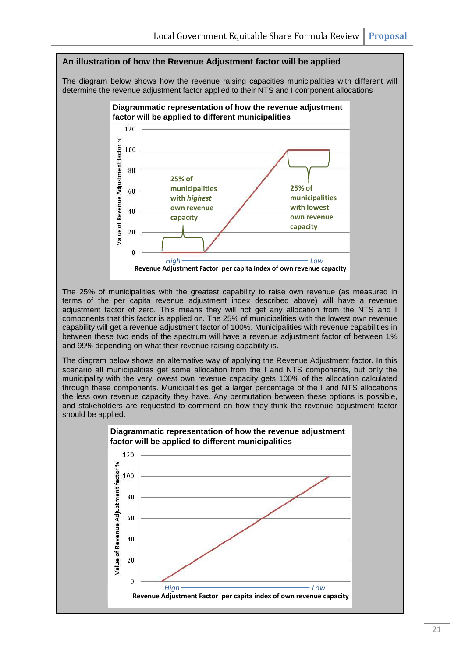#### **An illustration of how the Revenue Adjustment factor will be applied**

The diagram below shows how the revenue raising capacities municipalities with different will determine the revenue adjustment factor applied to their NTS and I component allocations



The 25% of municipalities with the greatest capability to raise own revenue (as measured in terms of the per capita revenue adjustment index described above) will have a revenue adjustment factor of zero. This means they will not get any allocation from the NTS and I components that this factor is applied on. The 25% of municipalities with the lowest own revenue capability will get a revenue adjustment factor of 100%. Municipalities with revenue capabilities in between these two ends of the spectrum will have a revenue adjustment factor of between 1% and 99% depending on what their revenue raising capability is.

The diagram below shows an alternative way of applying the Revenue Adjustment factor. In this scenario all municipalities get some allocation from the I and NTS components, but only the municipality with the very lowest own revenue capacity gets 100% of the allocation calculated through these components. Municipalities get a larger percentage of the I and NTS allocations the less own revenue capacity they have. Any permutation between these options is possible, and stakeholders are requested to comment on how they think the revenue adjustment factor should be applied.

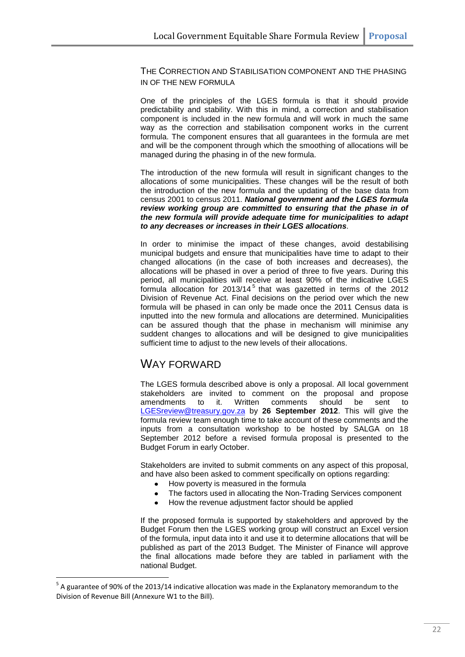THE CORRECTION AND STABILISATION COMPONENT AND THE PHASING IN OF THE NEW FORMULA

One of the principles of the LGES formula is that it should provide predictability and stability. With this in mind, a correction and stabilisation component is included in the new formula and will work in much the same way as the correction and stabilisation component works in the current formula. The component ensures that all guarantees in the formula are met and will be the component through which the smoothing of allocations will be managed during the phasing in of the new formula.

The introduction of the new formula will result in significant changes to the allocations of some municipalities. These changes will be the result of both the introduction of the new formula and the updating of the base data from census 2001 to census 2011. *National government and the LGES formula review working group are committed to ensuring that the phase in of the new formula will provide adequate time for municipalities to adapt to any decreases or increases in their LGES allocations.*

In order to minimise the impact of these changes, avoid destabilising municipal budgets and ensure that municipalities have time to adapt to their changed allocations (in the case of both increases and decreases), the allocations will be phased in over a period of three to five years. During this period, all municipalities will receive at least 90% of the indicative LGES formula allocation for 2013/14<sup>5</sup> that was gazetted in terms of the 2012 Division of Revenue Act. Final decisions on the period over which the new formula will be phased in can only be made once the 2011 Census data is inputted into the new formula and allocations are determined. Municipalities can be assured though that the phase in mechanism will minimise any suddent changes to allocations and will be designed to give municipalities sufficient time to adjust to the new levels of their allocations.

#### WAY FORWARD

1

The LGES formula described above is only a proposal. All local government stakeholders are invited to comment on the proposal and propose amendments to it. Written comments should be sent to [LGESreview@treasury.gov.za](mailto:LGESreview@treasury.gov.za) by **26 September 2012**. This will give the formula review team enough time to take account of these comments and the inputs from a consultation workshop to be hosted by SALGA on 18 September 2012 before a revised formula proposal is presented to the Budget Forum in early October.

Stakeholders are invited to submit comments on any aspect of this proposal, and have also been asked to comment specifically on options regarding:

- How poverty is measured in the formula
- The factors used in allocating the Non-Trading Services component
- How the revenue adjustment factor should be applied

If the proposed formula is supported by stakeholders and approved by the Budget Forum then the LGES working group will construct an Excel version of the formula, input data into it and use it to determine allocations that will be published as part of the 2013 Budget. The Minister of Finance will approve the final allocations made before they are tabled in parliament with the national Budget.

<sup>&</sup>lt;sup>5</sup> A guarantee of 90% of the 2013/14 indicative allocation was made in the Explanatory memorandum to the Division of Revenue Bill (Annexure W1 to the Bill).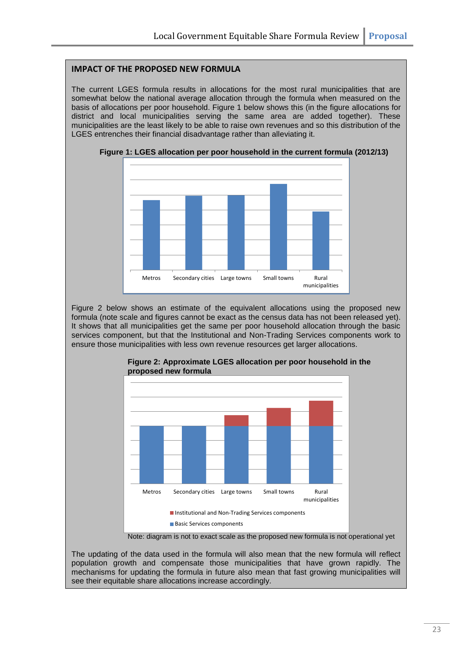#### **IMPACT OF THE PROPOSED NEW FORMULA**

The current LGES formula results in allocations for the most rural municipalities that are somewhat below the national average allocation through the formula when measured on the basis of allocations per poor household. Figure 1 below shows this (in the figure allocations for district and local municipalities serving the same area are added together). These municipalities are the least likely to be able to raise own revenues and so this distribution of the LGES entrenches their financial disadvantage rather than alleviating it.



**Figure 1: LGES allocation per poor household in the current formula (2012/13)**

Figure 2 below shows an estimate of the equivalent allocations using the proposed new formula (note scale and figures cannot be exact as the census data has not been released yet). It shows that all municipalities get the same per poor household allocation through the basic services component, but that the Institutional and Non-Trading Services components work to ensure those municipalities with less own revenue resources get larger allocations.



**Figure 2: Approximate LGES allocation per poor household in the proposed new formula**

Note: diagram is not to exact scale as the proposed new formula is not operational yet

The updating of the data used in the formula will also mean that the new formula will reflect population growth and compensate those municipalities that have grown rapidly. The mechanisms for updating the formula in future also mean that fast growing municipalities will see their equitable share allocations increase accordingly.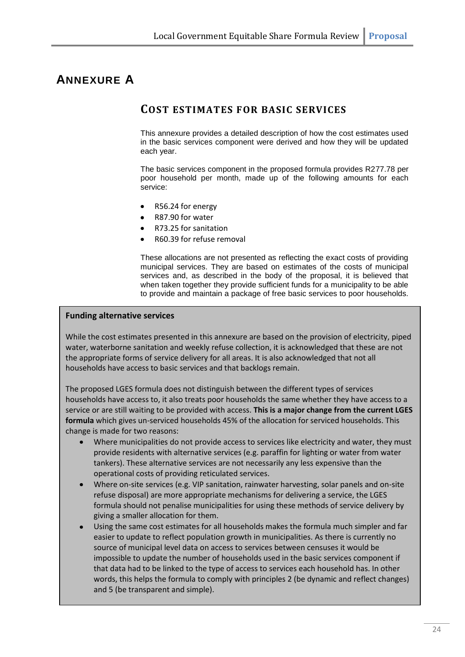### **ANNEXURE A**

### **COST ESTIMATES FOR BASIC SERVICES**

This annexure provides a detailed description of how the cost estimates used in the basic services component were derived and how they will be updated each year.

The basic services component in the proposed formula provides R277.78 per poor household per month, made up of the following amounts for each service:

- R56.24 for energy
- R87.90 for water
- R73.25 for sanitation
- R60.39 for refuse removal

These allocations are not presented as reflecting the exact costs of providing municipal services. They are based on estimates of the costs of municipal services and, as described in the body of the proposal, it is believed that when taken together they provide sufficient funds for a municipality to be able to provide and maintain a package of free basic services to poor households.

#### **Funding alternative services**

While the cost estimates presented in this annexure are based on the provision of electricity, piped water, waterborne sanitation and weekly refuse collection, it is acknowledged that these are not the appropriate forms of service delivery for all areas. It is also acknowledged that not all households have access to basic services and that backlogs remain.

The proposed LGES formula does not distinguish between the different types of services households have access to, it also treats poor households the same whether they have access to a service or are still waiting to be provided with access. **This is a major change from the current LGES formula** which gives un-serviced households 45% of the allocation for serviced households. This change is made for two reasons:

- Where municipalities do not provide access to services like electricity and water, they must provide residents with alternative services (e.g. paraffin for lighting or water from water tankers). These alternative services are not necessarily any less expensive than the operational costs of providing reticulated services.
- Where on-site services (e.g. VIP sanitation, rainwater harvesting, solar panels and on-site refuse disposal) are more appropriate mechanisms for delivering a service, the LGES formula should not penalise municipalities for using these methods of service delivery by giving a smaller allocation for them.
- Using the same cost estimates for all households makes the formula much simpler and far easier to update to reflect population growth in municipalities. As there is currently no source of municipal level data on access to services between censuses it would be impossible to update the number of households used in the basic services component if that data had to be linked to the type of access to services each household has. In other words, this helps the formula to comply with principles 2 (be dynamic and reflect changes) and 5 (be transparent and simple).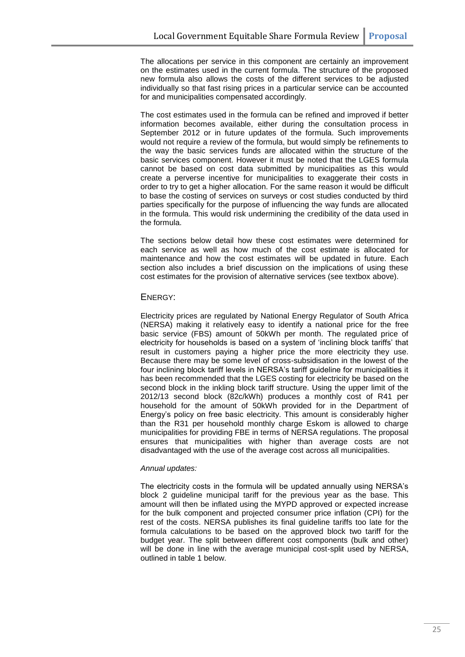The allocations per service in this component are certainly an improvement on the estimates used in the current formula. The structure of the proposed new formula also allows the costs of the different services to be adjusted individually so that fast rising prices in a particular service can be accounted for and municipalities compensated accordingly.

The cost estimates used in the formula can be refined and improved if better information becomes available, either during the consultation process in September 2012 or in future updates of the formula. Such improvements would not require a review of the formula, but would simply be refinements to the way the basic services funds are allocated within the structure of the basic services component. However it must be noted that the LGES formula cannot be based on cost data submitted by municipalities as this would create a perverse incentive for municipalities to exaggerate their costs in order to try to get a higher allocation. For the same reason it would be difficult to base the costing of services on surveys or cost studies conducted by third parties specifically for the purpose of influencing the way funds are allocated in the formula. This would risk undermining the credibility of the data used in the formula.

The sections below detail how these cost estimates were determined for each service as well as how much of the cost estimate is allocated for maintenance and how the cost estimates will be updated in future. Each section also includes a brief discussion on the implications of using these cost estimates for the provision of alternative services (see textbox above).

#### ENERGY:

Electricity prices are regulated by National Energy Regulator of South Africa (NERSA) making it relatively easy to identify a national price for the free basic service (FBS) amount of 50kWh per month. The regulated price of electricity for households is based on a system of 'inclining block tariffs' that result in customers paying a higher price the more electricity they use. Because there may be some level of cross-subsidisation in the lowest of the four inclining block tariff levels in NERSA's tariff guideline for municipalities it has been recommended that the LGES costing for electricity be based on the second block in the inkling block tariff structure. Using the upper limit of the 2012/13 second block (82c/kWh) produces a monthly cost of R41 per household for the amount of 50kWh provided for in the Department of Energy's policy on free basic electricity. This amount is considerably higher than the R31 per household monthly charge Eskom is allowed to charge municipalities for providing FBE in terms of NERSA regulations. The proposal ensures that municipalities with higher than average costs are not disadvantaged with the use of the average cost across all municipalities.

#### *Annual updates:*

The electricity costs in the formula will be updated annually using NERSA's block 2 guideline municipal tariff for the previous year as the base. This amount will then be inflated using the MYPD approved or expected increase for the bulk component and projected consumer price inflation (CPI) for the rest of the costs. NERSA publishes its final guideline tariffs too late for the formula calculations to be based on the approved block two tariff for the budget year. The split between different cost components (bulk and other) will be done in line with the average municipal cost-split used by NERSA, outlined in table 1 below.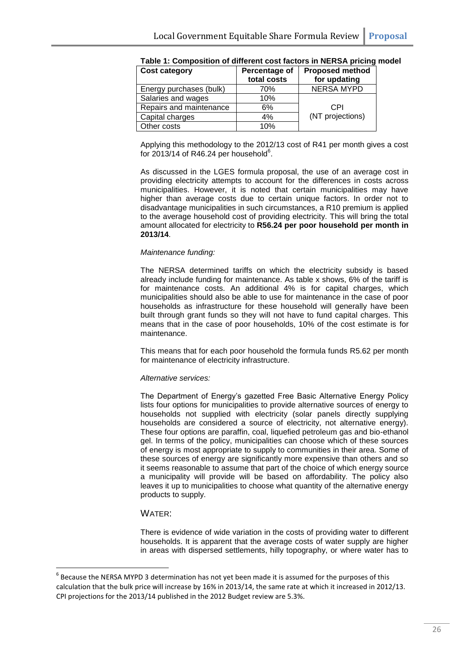| <b>Cost category</b>    | Percentage of<br>total costs | <b>Proposed method</b><br>for updating |
|-------------------------|------------------------------|----------------------------------------|
| Energy purchases (bulk) | 70%                          | <b>NERSA MYPD</b>                      |
| Salaries and wages      | 10%                          |                                        |
| Repairs and maintenance | 6%                           | CPI                                    |
| Capital charges         | 4%                           | (NT projections)                       |
| Other costs             | 10%                          |                                        |

| Table 1: Composition of different cost factors in NERSA pricing model |  |
|-----------------------------------------------------------------------|--|
|-----------------------------------------------------------------------|--|

Applying this methodology to the 2012/13 cost of R41 per month gives a cost for  $2013/14$  of R46.24 per household<sup>6</sup>.

As discussed in the LGES formula proposal, the use of an average cost in providing electricity attempts to account for the differences in costs across municipalities. However, it is noted that certain municipalities may have higher than average costs due to certain unique factors. In order not to disadvantage municipalities in such circumstances, a R10 premium is applied to the average household cost of providing electricity. This will bring the total amount allocated for electricity to **R56.24 per poor household per month in 2013/14**.

#### *Maintenance funding:*

The NERSA determined tariffs on which the electricity subsidy is based already include funding for maintenance. As table x shows, 6% of the tariff is for maintenance costs. An additional 4% is for capital charges, which municipalities should also be able to use for maintenance in the case of poor households as infrastructure for these household will generally have been built through grant funds so they will not have to fund capital charges. This means that in the case of poor households, 10% of the cost estimate is for maintenance.

This means that for each poor household the formula funds R5.62 per month for maintenance of electricity infrastructure.

#### *Alternative services:*

The Department of Energy's gazetted Free Basic Alternative Energy Policy lists four options for municipalities to provide alternative sources of energy to households not supplied with electricity (solar panels directly supplying households are considered a source of electricity, not alternative energy). These four options are paraffin, coal, liquefied petroleum gas and bio-ethanol gel. In terms of the policy, municipalities can choose which of these sources of energy is most appropriate to supply to communities in their area. Some of these sources of energy are significantly more expensive than others and so it seems reasonable to assume that part of the choice of which energy source a municipality will provide will be based on affordability. The policy also leaves it up to municipalities to choose what quantity of the alternative energy products to supply.

#### WATER:

**.** 

There is evidence of wide variation in the costs of providing water to different households. It is apparent that the average costs of water supply are higher in areas with dispersed settlements, hilly topography, or where water has to

 $<sup>6</sup>$  Because the NERSA MYPD 3 determination has not yet been made it is assumed for the purposes of this</sup> calculation that the bulk price will increase by 16% in 2013/14, the same rate at which it increased in 2012/13. CPI projections for the 2013/14 published in the 2012 Budget review are 5.3%.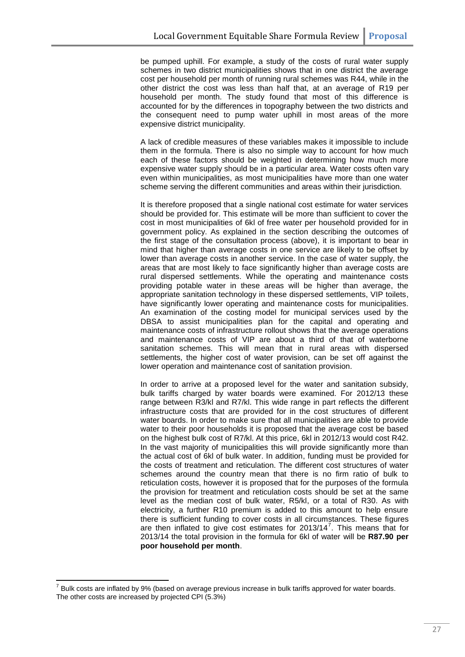be pumped uphill. For example, a study of the costs of rural water supply schemes in two district municipalities shows that in one district the average cost per household per month of running rural schemes was R44, while in the other district the cost was less than half that, at an average of R19 per household per month. The study found that most of this difference is accounted for by the differences in topography between the two districts and the consequent need to pump water uphill in most areas of the more expensive district municipality.

A lack of credible measures of these variables makes it impossible to include them in the formula. There is also no simple way to account for how much each of these factors should be weighted in determining how much more expensive water supply should be in a particular area. Water costs often vary even within municipalities, as most municipalities have more than one water scheme serving the different communities and areas within their jurisdiction.

It is therefore proposed that a single national cost estimate for water services should be provided for. This estimate will be more than sufficient to cover the cost in most municipalities of 6kl of free water per household provided for in government policy. As explained in the section describing the outcomes of the first stage of the consultation process (above), it is important to bear in mind that higher than average costs in one service are likely to be offset by lower than average costs in another service. In the case of water supply, the areas that are most likely to face significantly higher than average costs are rural dispersed settlements. While the operating and maintenance costs providing potable water in these areas will be higher than average, the appropriate sanitation technology in these dispersed settlements, VIP toilets, have significantly lower operating and maintenance costs for municipalities. An examination of the costing model for municipal services used by the DBSA to assist municipalities plan for the capital and operating and maintenance costs of infrastructure rollout shows that the average operations and maintenance costs of VIP are about a third of that of waterborne sanitation schemes. This will mean that in rural areas with dispersed settlements, the higher cost of water provision, can be set off against the lower operation and maintenance cost of sanitation provision.

In order to arrive at a proposed level for the water and sanitation subsidy, bulk tariffs charged by water boards were examined. For 2012/13 these range between R3/kl and R7/kl. This wide range in part reflects the different infrastructure costs that are provided for in the cost structures of different water boards. In order to make sure that all municipalities are able to provide water to their poor households it is proposed that the average cost be based on the highest bulk cost of R7/kl. At this price, 6kl in 2012/13 would cost R42. In the vast majority of municipalities this will provide significantly more than the actual cost of 6kl of bulk water. In addition, funding must be provided for the costs of treatment and reticulation. The different cost structures of water schemes around the country mean that there is no firm ratio of bulk to reticulation costs, however it is proposed that for the purposes of the formula the provision for treatment and reticulation costs should be set at the same level as the median cost of bulk water, R5/kl, or a total of R30. As with electricity, a further R10 premium is added to this amount to help ensure there is sufficient funding to cover costs in all circumstances. These figures are then inflated to give cost estimates for 2013/14 $^7$ . This means that for 2013/14 the total provision in the formula for 6kl of water will be **R87.90 per poor household per month**.

**.** 

 $^7$  Bulk costs are inflated by 9% (based on average previous increase in bulk tariffs approved for water boards. The other costs are increased by projected CPI (5.3%)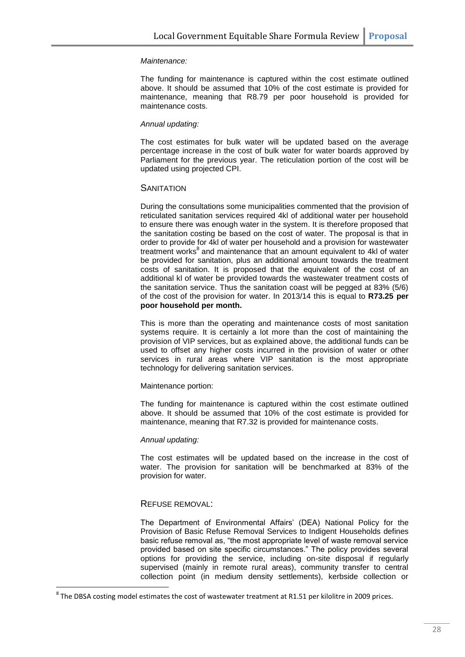#### *Maintenance:*

The funding for maintenance is captured within the cost estimate outlined above. It should be assumed that 10% of the cost estimate is provided for maintenance, meaning that R8.79 per poor household is provided for maintenance costs.

#### *Annual updating:*

The cost estimates for bulk water will be updated based on the average percentage increase in the cost of bulk water for water boards approved by Parliament for the previous year. The reticulation portion of the cost will be updated using projected CPI.

#### **SANITATION**

During the consultations some municipalities commented that the provision of reticulated sanitation services required 4kl of additional water per household to ensure there was enough water in the system. It is therefore proposed that the sanitation costing be based on the cost of water. The proposal is that in order to provide for 4kl of water per household and a provision for wastewater treatment works<sup>8</sup> and maintenance that an amount equivalent to 4kl of water be provided for sanitation, plus an additional amount towards the treatment costs of sanitation. It is proposed that the equivalent of the cost of an additional kl of water be provided towards the wastewater treatment costs of the sanitation service. Thus the sanitation coast will be pegged at 83% (5/6) of the cost of the provision for water. In 2013/14 this is equal to **R73.25 per poor household per month.** 

This is more than the operating and maintenance costs of most sanitation systems require. It is certainly a lot more than the cost of maintaining the provision of VIP services, but as explained above, the additional funds can be used to offset any higher costs incurred in the provision of water or other services in rural areas where VIP sanitation is the most appropriate technology for delivering sanitation services.

#### Maintenance portion:

The funding for maintenance is captured within the cost estimate outlined above. It should be assumed that 10% of the cost estimate is provided for maintenance, meaning that R7.32 is provided for maintenance costs.

#### *Annual updating:*

The cost estimates will be updated based on the increase in the cost of water. The provision for sanitation will be benchmarked at 83% of the provision for water.

#### REFUSE REMOVAL:

**.** 

The Department of Environmental Affairs' (DEA) National Policy for the Provision of Basic Refuse Removal Services to Indigent Households defines basic refuse removal as, "the most appropriate level of waste removal service provided based on site specific circumstances." The policy provides several options for providing the service, including on-site disposal if regularly supervised (mainly in remote rural areas), community transfer to central collection point (in medium density settlements), kerbside collection or

 $^8$  The DBSA costing model estimates the cost of wastewater treatment at R1.51 per kilolitre in 2009 prices.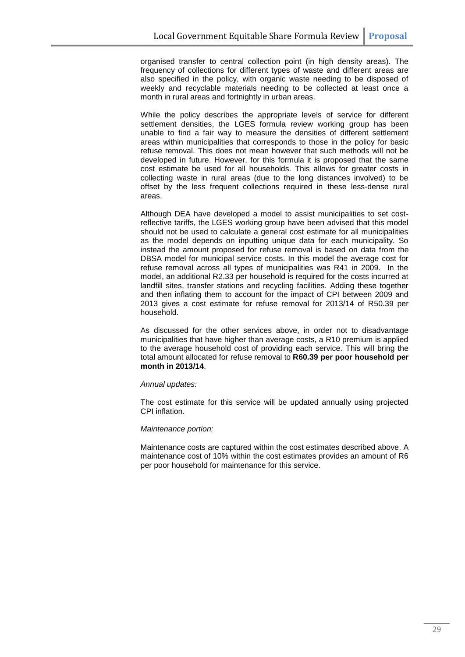organised transfer to central collection point (in high density areas). The frequency of collections for different types of waste and different areas are also specified in the policy, with organic waste needing to be disposed of weekly and recyclable materials needing to be collected at least once a month in rural areas and fortnightly in urban areas.

While the policy describes the appropriate levels of service for different settlement densities, the LGES formula review working group has been unable to find a fair way to measure the densities of different settlement areas within municipalities that corresponds to those in the policy for basic refuse removal. This does not mean however that such methods will not be developed in future. However, for this formula it is proposed that the same cost estimate be used for all households. This allows for greater costs in collecting waste in rural areas (due to the long distances involved) to be offset by the less frequent collections required in these less-dense rural areas.

Although DEA have developed a model to assist municipalities to set costreflective tariffs, the LGES working group have been advised that this model should not be used to calculate a general cost estimate for all municipalities as the model depends on inputting unique data for each municipality. So instead the amount proposed for refuse removal is based on data from the DBSA model for municipal service costs. In this model the average cost for refuse removal across all types of municipalities was R41 in 2009. In the model, an additional R2.33 per household is required for the costs incurred at landfill sites, transfer stations and recycling facilities. Adding these together and then inflating them to account for the impact of CPI between 2009 and 2013 gives a cost estimate for refuse removal for 2013/14 of R50.39 per household.

As discussed for the other services above, in order not to disadvantage municipalities that have higher than average costs, a R10 premium is applied to the average household cost of providing each service. This will bring the total amount allocated for refuse removal to **R60.39 per poor household per month in 2013/14**.

#### *Annual updates:*

The cost estimate for this service will be updated annually using projected CPI inflation.

#### *Maintenance portion:*

Maintenance costs are captured within the cost estimates described above. A maintenance cost of 10% within the cost estimates provides an amount of R6 per poor household for maintenance for this service.